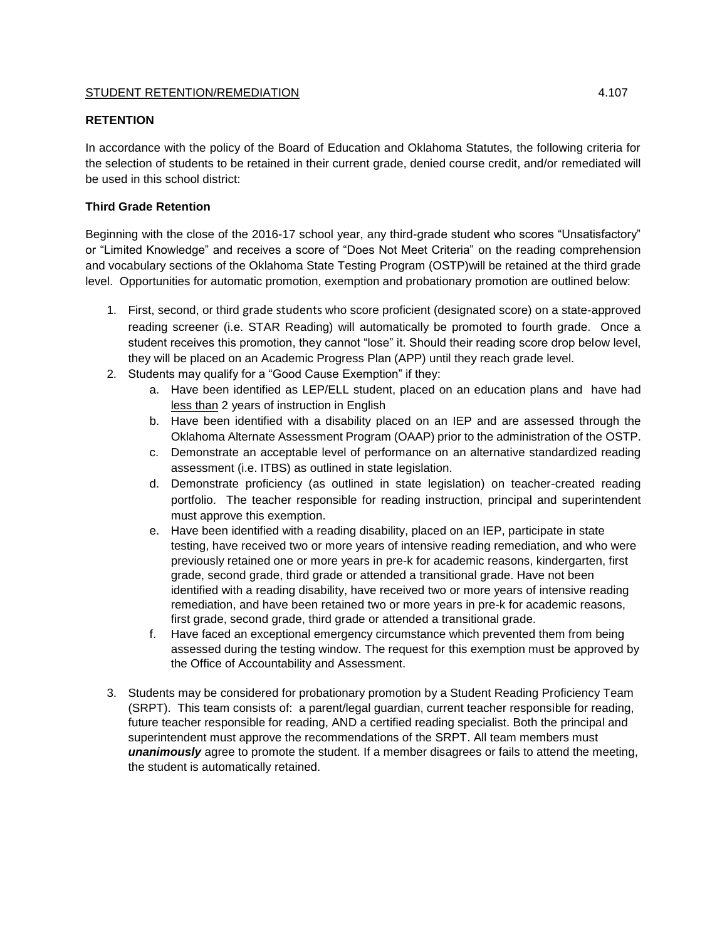## STUDENT RETENTION/REMEDIATION  $4.107$

## **RETENTION**

In accordance with the policy of the Board of Education and Oklahoma Statutes, the following criteria for the selection of students to be retained in their current grade, denied course credit, and/or remediated will be used in this school district:

## **Third Grade Retention**

Beginning with the close of the 2016-17 school year, any third-grade student who scores "Unsatisfactory" or "Limited Knowledge" and receives a score of "Does Not Meet Criteria" on the reading comprehension and vocabulary sections of the Oklahoma State Testing Program (OSTP)will be retained at the third grade level. Opportunities for automatic promotion, exemption and probationary promotion are outlined below:

- 1. First, second, or third grade students who score proficient (designated score) on a state-approved reading screener (i.e. STAR Reading) will automatically be promoted to fourth grade. Once a student receives this promotion, they cannot "lose" it. Should their reading score drop below level, they will be placed on an Academic Progress Plan (APP) until they reach grade level.
- 2. Students may qualify for a "Good Cause Exemption" if they:
	- a. Have been identified as LEP/ELL student, placed on an education plans and have had less than 2 years of instruction in English
	- b. Have been identified with a disability placed on an IEP and are assessed through the Oklahoma Alternate Assessment Program (OAAP) prior to the administration of the OSTP.
	- c. Demonstrate an acceptable level of performance on an alternative standardized reading assessment (i.e. ITBS) as outlined in state legislation.
	- d. Demonstrate proficiency (as outlined in state legislation) on teacher-created reading portfolio. The teacher responsible for reading instruction, principal and superintendent must approve this exemption.
	- e. Have been identified with a reading disability, placed on an IEP, participate in state testing, have received two or more years of intensive reading remediation, and who were previously retained one or more years in pre-k for academic reasons, kindergarten, first grade, second grade, third grade or attended a transitional grade. Have not been identified with a reading disability, have received two or more years of intensive reading remediation, and have been retained two or more years in pre-k for academic reasons, first grade, second grade, third grade or attended a transitional grade.
	- f. Have faced an exceptional emergency circumstance which prevented them from being assessed during the testing window. The request for this exemption must be approved by the Office of Accountability and Assessment.
- 3. Students may be considered for probationary promotion by a Student Reading Proficiency Team (SRPT). This team consists of: a parent/legal guardian, current teacher responsible for reading, future teacher responsible for reading, AND a certified reading specialist. Both the principal and superintendent must approve the recommendations of the SRPT. All team members must *unanimously* agree to promote the student. If a member disagrees or fails to attend the meeting, the student is automatically retained.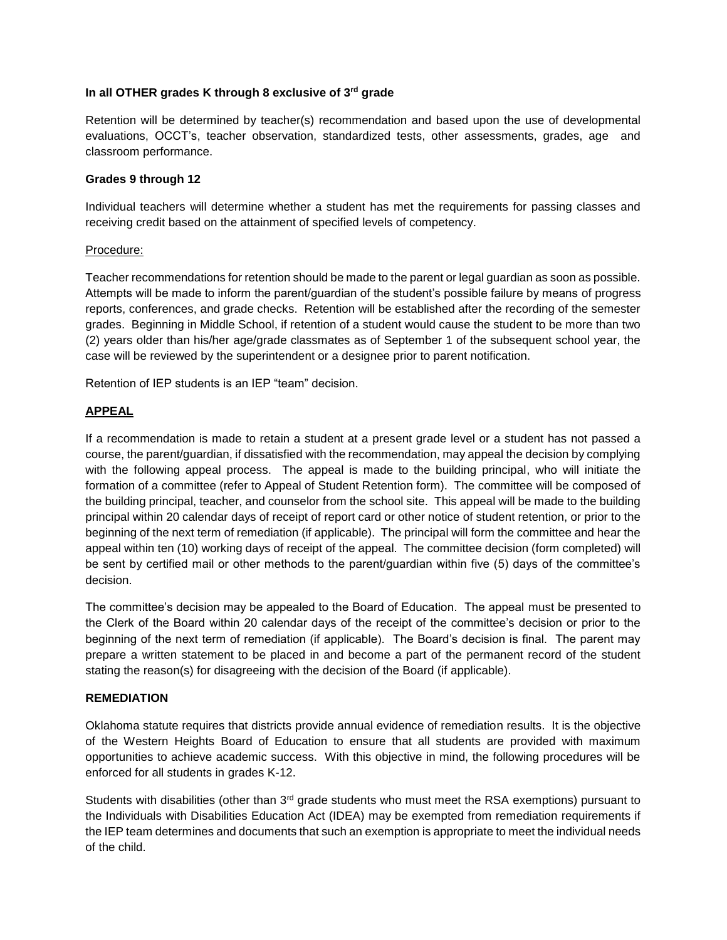# **In all OTHER grades K through 8 exclusive of 3rd grade**

Retention will be determined by teacher(s) recommendation and based upon the use of developmental evaluations, OCCT's, teacher observation, standardized tests, other assessments, grades, age and classroom performance.

## **Grades 9 through 12**

Individual teachers will determine whether a student has met the requirements for passing classes and receiving credit based on the attainment of specified levels of competency.

#### Procedure:

Teacher recommendations for retention should be made to the parent or legal guardian as soon as possible. Attempts will be made to inform the parent/guardian of the student's possible failure by means of progress reports, conferences, and grade checks. Retention will be established after the recording of the semester grades. Beginning in Middle School, if retention of a student would cause the student to be more than two (2) years older than his/her age/grade classmates as of September 1 of the subsequent school year, the case will be reviewed by the superintendent or a designee prior to parent notification.

Retention of IEP students is an IEP "team" decision.

## **APPEAL**

If a recommendation is made to retain a student at a present grade level or a student has not passed a course, the parent/guardian, if dissatisfied with the recommendation, may appeal the decision by complying with the following appeal process. The appeal is made to the building principal, who will initiate the formation of a committee (refer to Appeal of Student Retention form). The committee will be composed of the building principal, teacher, and counselor from the school site. This appeal will be made to the building principal within 20 calendar days of receipt of report card or other notice of student retention, or prior to the beginning of the next term of remediation (if applicable). The principal will form the committee and hear the appeal within ten (10) working days of receipt of the appeal. The committee decision (form completed) will be sent by certified mail or other methods to the parent/guardian within five (5) days of the committee's decision.

The committee's decision may be appealed to the Board of Education. The appeal must be presented to the Clerk of the Board within 20 calendar days of the receipt of the committee's decision or prior to the beginning of the next term of remediation (if applicable). The Board's decision is final. The parent may prepare a written statement to be placed in and become a part of the permanent record of the student stating the reason(s) for disagreeing with the decision of the Board (if applicable).

#### **REMEDIATION**

Oklahoma statute requires that districts provide annual evidence of remediation results. It is the objective of the Western Heights Board of Education to ensure that all students are provided with maximum opportunities to achieve academic success. With this objective in mind, the following procedures will be enforced for all students in grades K-12.

Students with disabilities (other than  $3<sup>rd</sup>$  grade students who must meet the RSA exemptions) pursuant to the Individuals with Disabilities Education Act (IDEA) may be exempted from remediation requirements if the IEP team determines and documents that such an exemption is appropriate to meet the individual needs of the child.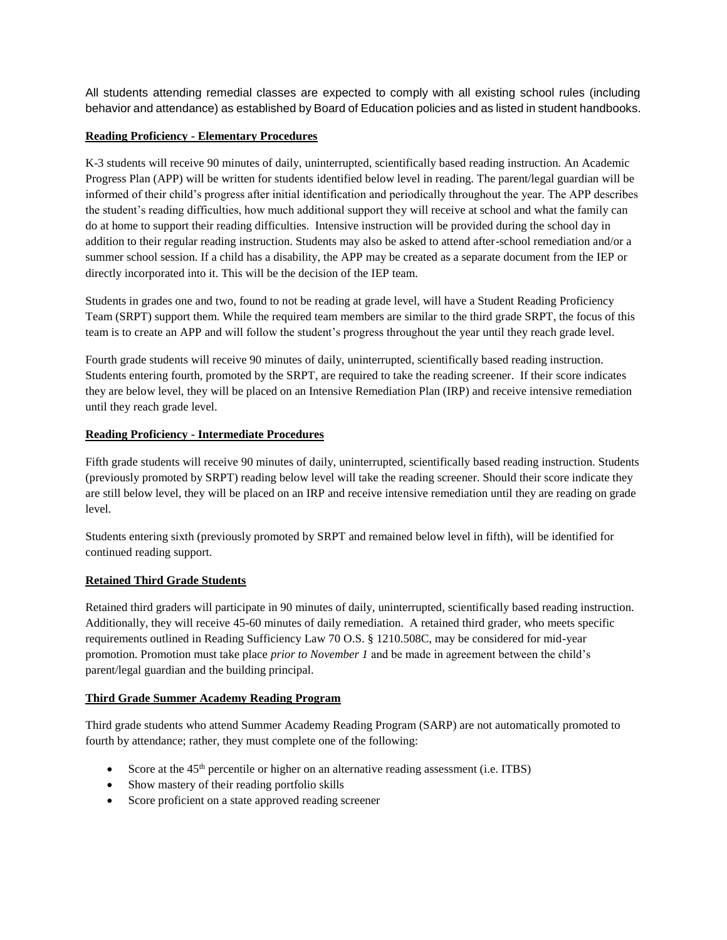All students attending remedial classes are expected to comply with all existing school rules (including behavior and attendance) as established by Board of Education policies and as listed in student handbooks.

## **Reading Proficiency - Elementary Procedures**

K-3 students will receive 90 minutes of daily, uninterrupted, scientifically based reading instruction. An Academic Progress Plan (APP) will be written for students identified below level in reading. The parent/legal guardian will be informed of their child's progress after initial identification and periodically throughout the year. The APP describes the student's reading difficulties, how much additional support they will receive at school and what the family can do at home to support their reading difficulties. Intensive instruction will be provided during the school day in addition to their regular reading instruction. Students may also be asked to attend after-school remediation and/or a summer school session. If a child has a disability, the APP may be created as a separate document from the IEP or directly incorporated into it. This will be the decision of the IEP team.

Students in grades one and two, found to not be reading at grade level, will have a Student Reading Proficiency Team (SRPT) support them. While the required team members are similar to the third grade SRPT, the focus of this team is to create an APP and will follow the student's progress throughout the year until they reach grade level.

Fourth grade students will receive 90 minutes of daily, uninterrupted, scientifically based reading instruction. Students entering fourth, promoted by the SRPT, are required to take the reading screener. If their score indicates they are below level, they will be placed on an Intensive Remediation Plan (IRP) and receive intensive remediation until they reach grade level.

## **Reading Proficiency - Intermediate Procedures**

Fifth grade students will receive 90 minutes of daily, uninterrupted, scientifically based reading instruction. Students (previously promoted by SRPT) reading below level will take the reading screener. Should their score indicate they are still below level, they will be placed on an IRP and receive intensive remediation until they are reading on grade level.

Students entering sixth (previously promoted by SRPT and remained below level in fifth), will be identified for continued reading support.

#### **Retained Third Grade Students**

Retained third graders will participate in 90 minutes of daily, uninterrupted, scientifically based reading instruction. Additionally, they will receive 45-60 minutes of daily remediation. A retained third grader, who meets specific requirements outlined in Reading Sufficiency Law 70 O.S. § 1210.508C, may be considered for mid-year promotion. Promotion must take place *prior to November 1* and be made in agreement between the child's parent/legal guardian and the building principal.

#### **Third Grade Summer Academy Reading Program**

Third grade students who attend Summer Academy Reading Program (SARP) are not automatically promoted to fourth by attendance; rather, they must complete one of the following:

- Score at the  $45<sup>th</sup>$  percentile or higher on an alternative reading assessment (i.e. ITBS)
- Show mastery of their reading portfolio skills
- Score proficient on a state approved reading screener